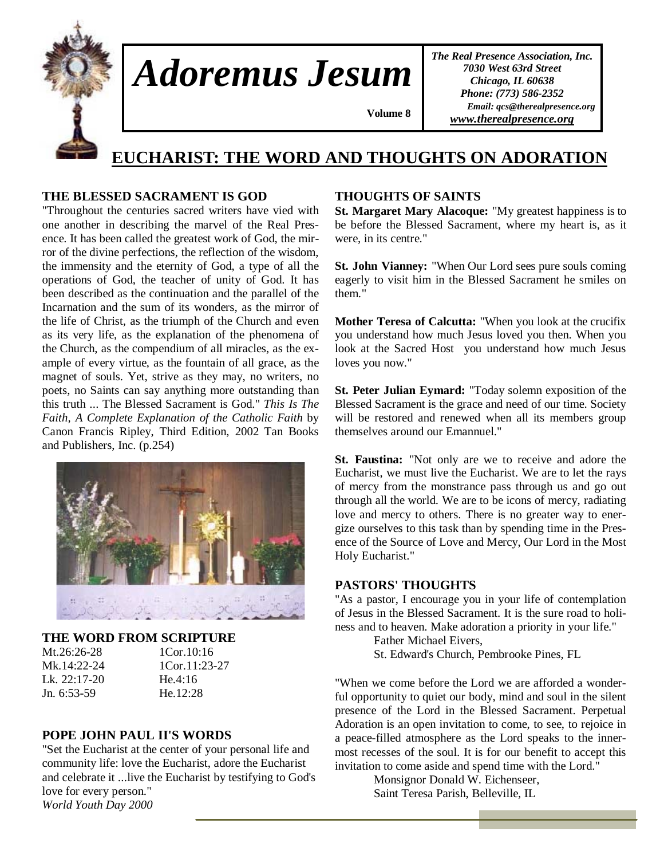

*Adoremus Jesum* 

*The Real Presence Association, Inc. 7030 West 63rd Street Chicago, IL 60638 Phone: (773) 586-2352 Email: qcs@therealpresence.org www.therealpresence.org*

# **EUCHARIST: THE WORD AND THOUGHTS ON ADORATION**

 **Volume 8 ,**

# **THE BLESSED SACRAMENT IS GOD**

"Throughout the centuries sacred writers have vied with one another in describing the marvel of the Real Presence. It has been called the greatest work of God, the mirror of the divine perfections, the reflection of the wisdom, the immensity and the eternity of God, a type of all the operations of God, the teacher of unity of God. It has been described as the continuation and the parallel of the Incarnation and the sum of its wonders, as the mirror of the life of Christ, as the triumph of the Church and even as its very life, as the explanation of the phenomena of the Church, as the compendium of all miracles, as the example of every virtue, as the fountain of all grace, as the magnet of souls. Yet, strive as they may, no writers, no poets, no Saints can say anything more outstanding than this truth ... The Blessed Sacrament is God." *This Is The Faith, A Complete Explanation of the Catholic Faith* by Canon Francis Ripley, Third Edition, 2002 Tan Books and Publishers, Inc. (p.254)



#### **THE WORD FROM SCRIPTURE**

| Mt.26:26-28  |
|--------------|
| Mk.14:22-24  |
| Lk. 22:17-20 |
| Jn. 6:53-59  |

1Cor.10:16  $1$ Cor.  $11:23-27$ He.  $4:16$ He.12:28

#### **POPE JOHN PAUL II'S WORDS**

"Set the Eucharist at the center of your personal life and community life: love the Eucharist, adore the Eucharist and celebrate it ...live the Eucharist by testifying to God's love for every person." *World Youth Day 2000* 

## **THOUGHTS OF SAINTS**

**St. Margaret Mary Alacoque:** "My greatest happiness is to be before the Blessed Sacrament, where my heart is, as it were, in its centre."

**St. John Vianney:** "When Our Lord sees pure souls coming eagerly to visit him in the Blessed Sacrament he smiles on them."

**Mother Teresa of Calcutta:** "When you look at the crucifix you understand how much Jesus loved you then. When you look at the Sacred Host you understand how much Jesus loves you now."

**St. Peter Julian Eymard:** "Today solemn exposition of the Blessed Sacrament is the grace and need of our time. Society will be restored and renewed when all its members group themselves around our Emannuel."

**St. Faustina:** "Not only are we to receive and adore the Eucharist, we must live the Eucharist. We are to let the rays of mercy from the monstrance pass through us and go out through all the world. We are to be icons of mercy, radiating love and mercy to others. There is no greater way to energize ourselves to this task than by spending time in the Presence of the Source of Love and Mercy, Our Lord in the Most Holy Eucharist."

#### **PASTORS' THOUGHTS**

"As a pastor, I encourage you in your life of contemplation of Jesus in the Blessed Sacrament. It is the sure road to holiness and to heaven. Make adoration a priority in your life."

Father Michael Eivers,

St. Edward's Church, Pembrooke Pines, FL

"When we come before the Lord we are afforded a wonderful opportunity to quiet our body, mind and soul in the silent presence of the Lord in the Blessed Sacrament. Perpetual Adoration is an open invitation to come, to see, to rejoice in a peace-filled atmosphere as the Lord speaks to the innermost recesses of the soul. It is for our benefit to accept this invitation to come aside and spend time with the Lord."

> Monsignor Donald W. Eichenseer, Saint Teresa Parish, Belleville, IL